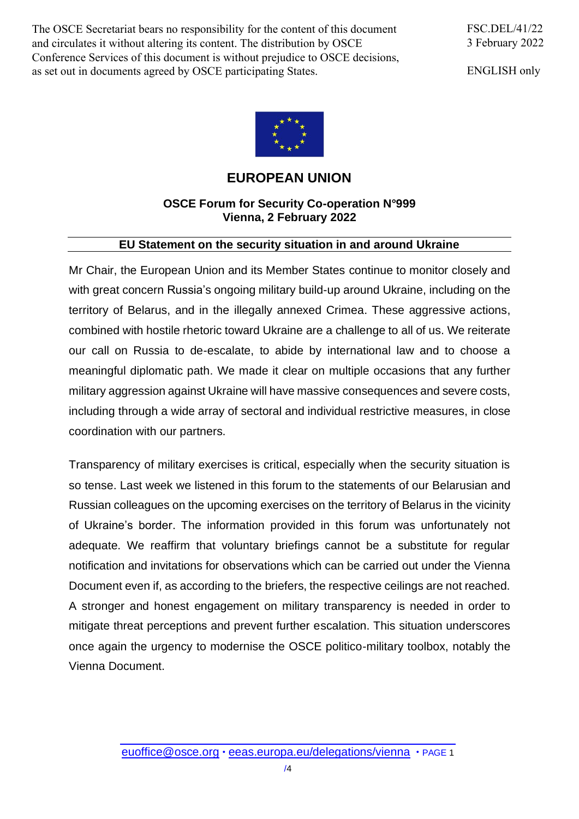The OSCE Secretariat bears no responsibility for the content of this document and circulates it without altering its content. The distribution by OSCE Conference Services of this document is without prejudice to OSCE decisions, as set out in documents agreed by OSCE participating States.

ENGLISH only



## **EUROPEAN UNION**

## **OSCE Forum for Security Co-operation N°999 Vienna, 2 February 2022**

## **EU Statement on the security situation in and around Ukraine**

Mr Chair, the European Union and its Member States continue to monitor closely and with great concern Russia's ongoing military build-up around Ukraine, including on the territory of Belarus, and in the illegally annexed Crimea. These aggressive actions, combined with hostile rhetoric toward Ukraine are a challenge to all of us. We reiterate our call on Russia to de-escalate, to abide by international law and to choose a meaningful diplomatic path. We made it clear on multiple occasions that any further military aggression against Ukraine will have massive consequences and severe costs, including through a wide array of sectoral and individual restrictive measures, in close coordination with our partners.

Transparency of military exercises is critical, especially when the security situation is so tense. Last week we listened in this forum to the statements of our Belarusian and Russian colleagues on the upcoming exercises on the territory of Belarus in the vicinity of Ukraine's border. The information provided in this forum was unfortunately not adequate. We reaffirm that voluntary briefings cannot be a substitute for regular notification and invitations for observations which can be carried out under the Vienna Document even if, as according to the briefers, the respective ceilings are not reached. A stronger and honest engagement on military transparency is needed in order to mitigate threat perceptions and prevent further escalation. This situation underscores once again the urgency to modernise the OSCE politico-military toolbox, notably the Vienna Document.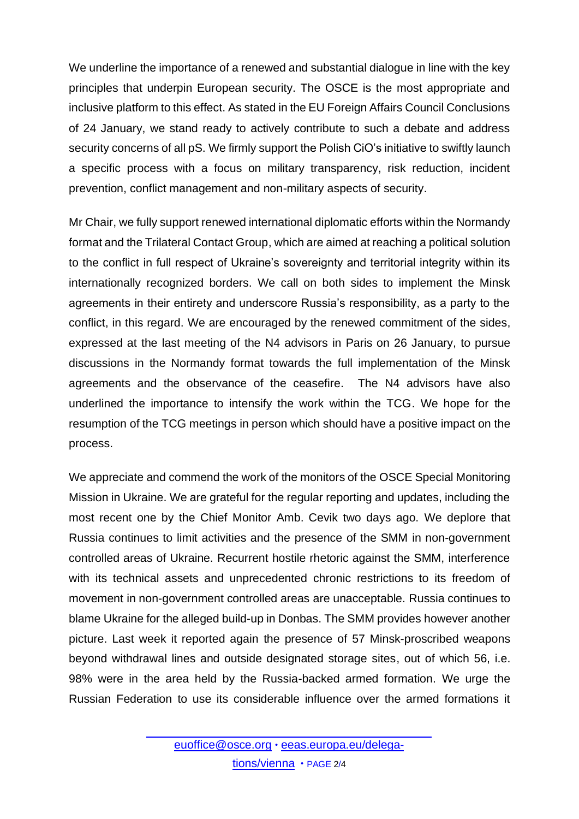We underline the importance of a renewed and substantial dialogue in line with the key principles that underpin European security. The OSCE is the most appropriate and inclusive platform to this effect. As stated in the EU Foreign Affairs Council Conclusions of 24 January, we stand ready to actively contribute to such a debate and address security concerns of all pS. We firmly support the Polish CiO's initiative to swiftly launch a specific process with a focus on military transparency, risk reduction, incident prevention, conflict management and non-military aspects of security.

Mr Chair, we fully support renewed international diplomatic efforts within the Normandy format and the Trilateral Contact Group, which are aimed at reaching a political solution to the conflict in full respect of Ukraine's sovereignty and territorial integrity within its internationally recognized borders. We call on both sides to implement the Minsk agreements in their entirety and underscore Russia's responsibility, as a party to the conflict, in this regard. We are encouraged by the renewed commitment of the sides, expressed at the last meeting of the N4 advisors in Paris on 26 January, to pursue discussions in the Normandy format towards the full implementation of the Minsk agreements and the observance of the ceasefire. The N4 advisors have also underlined the importance to intensify the work within the TCG. We hope for the resumption of the TCG meetings in person which should have a positive impact on the process.

We appreciate and commend the work of the monitors of the OSCE Special Monitoring Mission in Ukraine. We are grateful for the regular reporting and updates, including the most recent one by the Chief Monitor Amb. Cevik two days ago. We deplore that Russia continues to limit activities and the presence of the SMM in non-government controlled areas of Ukraine. Recurrent hostile rhetoric against the SMM, interference with its technical assets and unprecedented chronic restrictions to its freedom of movement in non-government controlled areas are unacceptable. Russia continues to blame Ukraine for the alleged build-up in Donbas. The SMM provides however another picture. Last week it reported again the presence of 57 Minsk-proscribed weapons beyond withdrawal lines and outside designated storage sites, out of which 56, i.e. 98% were in the area held by the Russia-backed armed formation. We urge the Russian Federation to use its considerable influence over the armed formations it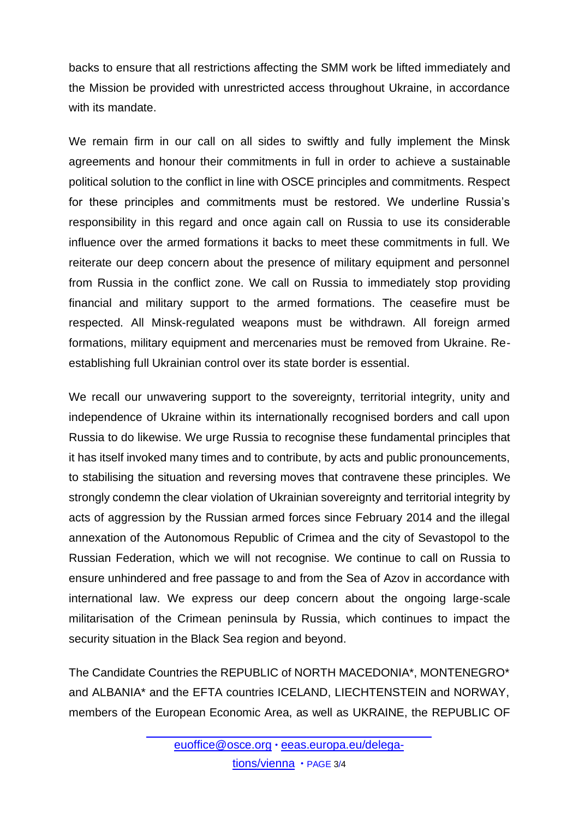backs to ensure that all restrictions affecting the SMM work be lifted immediately and the Mission be provided with unrestricted access throughout Ukraine, in accordance with its mandate

We remain firm in our call on all sides to swiftly and fully implement the Minsk agreements and honour their commitments in full in order to achieve a sustainable political solution to the conflict in line with OSCE principles and commitments. Respect for these principles and commitments must be restored. We underline Russia's responsibility in this regard and once again call on Russia to use its considerable influence over the armed formations it backs to meet these commitments in full. We reiterate our deep concern about the presence of military equipment and personnel from Russia in the conflict zone. We call on Russia to immediately stop providing financial and military support to the armed formations. The ceasefire must be respected. All Minsk-regulated weapons must be withdrawn. All foreign armed formations, military equipment and mercenaries must be removed from Ukraine. Reestablishing full Ukrainian control over its state border is essential.

We recall our unwavering support to the sovereignty, territorial integrity, unity and independence of Ukraine within its internationally recognised borders and call upon Russia to do likewise. We urge Russia to recognise these fundamental principles that it has itself invoked many times and to contribute, by acts and public pronouncements, to stabilising the situation and reversing moves that contravene these principles. We strongly condemn the clear violation of Ukrainian sovereignty and territorial integrity by acts of aggression by the Russian armed forces since February 2014 and the illegal annexation of the Autonomous Republic of Crimea and the city of Sevastopol to the Russian Federation, which we will not recognise. We continue to call on Russia to ensure unhindered and free passage to and from the Sea of Azov in accordance with international law. We express our deep concern about the ongoing large-scale militarisation of the Crimean peninsula by Russia, which continues to impact the security situation in the Black Sea region and beyond.

The Candidate Countries the REPUBLIC of NORTH MACEDONIA\*, MONTENEGRO\* and ALBANIA\* and the EFTA countries ICELAND, LIECHTENSTEIN and NORWAY, members of the European Economic Area, as well as UKRAINE, the REPUBLIC OF